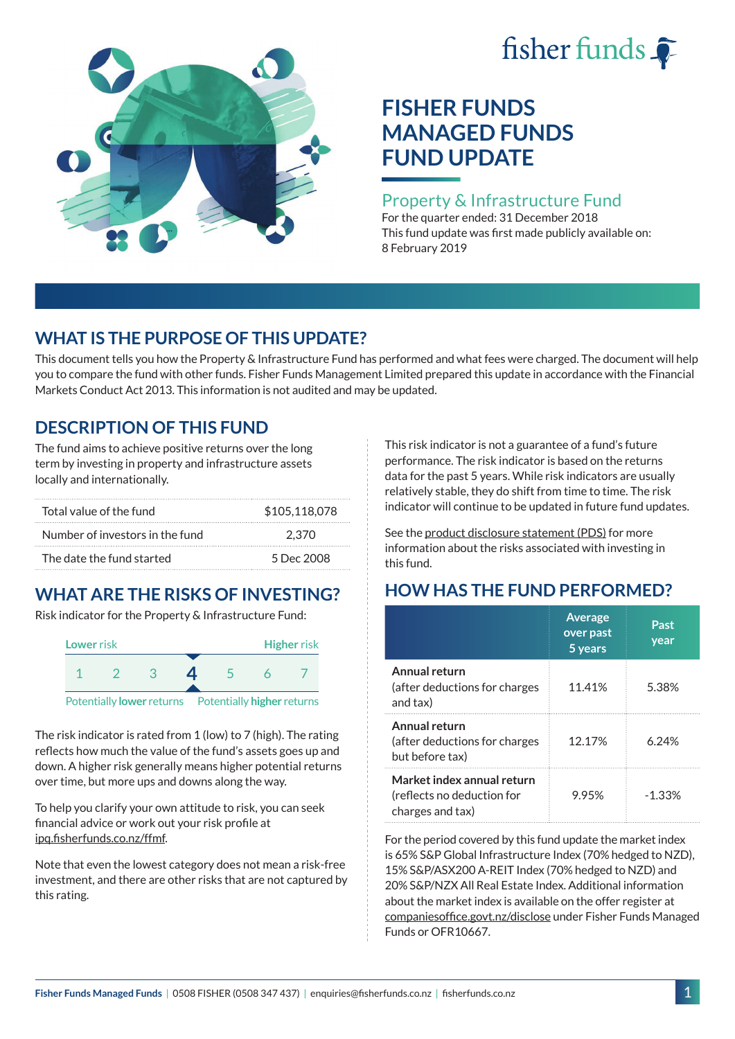# fisher funds  $\hat{\bullet}$



# **FISHER FUNDS MANAGED FUNDS FUND UPDATE**

#### Property & Infrastructure Fund

For the quarter ended: 31 December 2018 This fund update was first made publicly available on: 8 February 2019

## **WHAT IS THE PURPOSE OF THIS UPDATE?**

This document tells you how the Property & Infrastructure Fund has performed and what fees were charged. The document will help you to compare the fund with other funds. Fisher Funds Management Limited prepared this update in accordance with the Financial Markets Conduct Act 2013. This information is not audited and may be updated.

## **DESCRIPTION OF THIS FUND**

The fund aims to achieve positive returns over the long term by investing in property and infrastructure assets locally and internationally.

| Total value of the fund         | \$105,118,078 |
|---------------------------------|---------------|
| Number of investors in the fund | 2.370         |
| The date the fund started       | 5 Dec 2008    |

## **WHAT ARE THE RISKS OF INVESTING?**

Risk indicator for the Property & Infrastructure Fund:



The risk indicator is rated from 1 (low) to 7 (high). The rating reflects how much the value of the fund's assets goes up and down. A higher risk generally means higher potential returns over time, but more ups and downs along the way.

To help you clarify your own attitude to risk, you can seek financial advice or work out your risk profile at [ipq.fisherfunds.co.nz/ffmf](https://ipq.fisherfunds.co.nz/ffmf).

Note that even the lowest category does not mean a risk-free investment, and there are other risks that are not captured by this rating.

This risk indicator is not a guarantee of a fund's future performance. The risk indicator is based on the returns data for the past 5 years. While risk indicators are usually relatively stable, they do shift from time to time. The risk indicator will continue to be updated in future fund updates.

See the [product disclosure statement \(PDS\)](https://fisherfunds.co.nz/assets/PDS/Fisher-Funds-Managed-Funds-PDS.pdf) for more information about the risks associated with investing in this fund.

# **HOW HAS THE FUND PERFORMED?**

|                                                                              | <b>Average</b><br>over past<br>5 years | Past<br>year |
|------------------------------------------------------------------------------|----------------------------------------|--------------|
| Annual return<br>(after deductions for charges<br>and tax)                   | 11.41%                                 | 5.38%        |
| Annual return<br>(after deductions for charges<br>but before tax)            | 12.17%                                 | 6.24%        |
| Market index annual return<br>(reflects no deduction for<br>charges and tax) | 9.95%                                  | $-1.33%$     |

For the period covered by this fund update the market index is 65% S&P Global Infrastructure Index (70% hedged to NZD), 15% S&P/ASX200 A-REIT Index (70% hedged to NZD) and 20% S&P/NZX All Real Estate Index. Additional information about the market index is available on the offer register at [companiesoffice.govt.nz/disclose](http://companiesoffice.govt.nz/disclose) under Fisher Funds Managed Funds or OFR10667.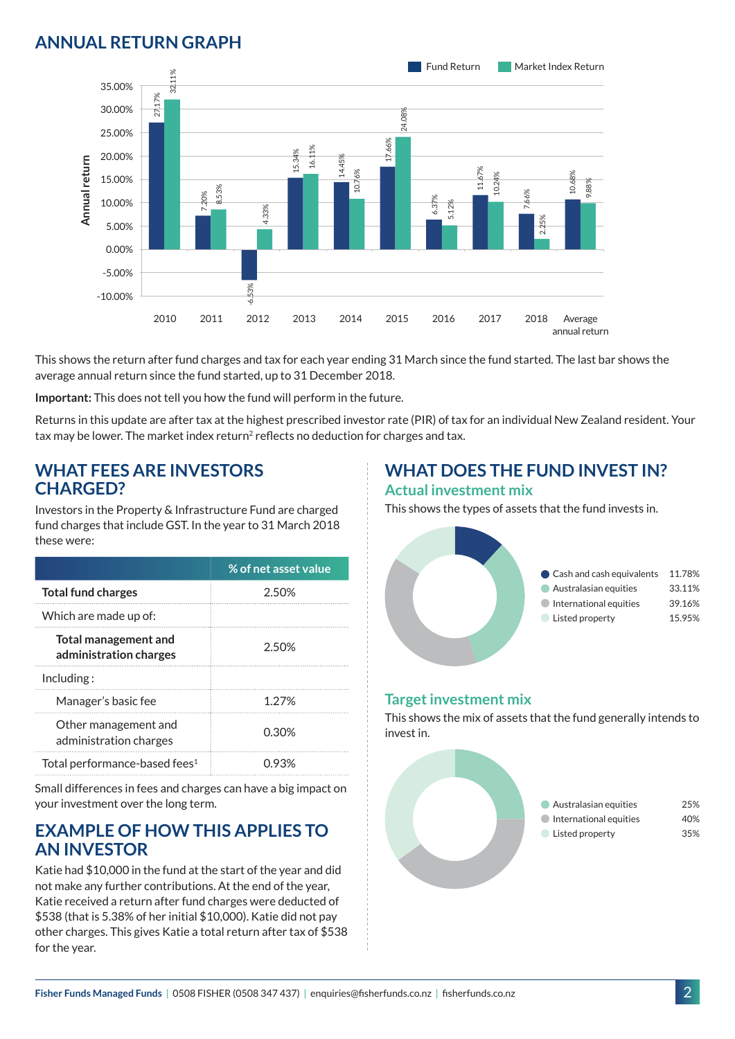## **ANNUAL RETURN GRAPH**



This shows the return after fund charges and tax for each year ending 31 March since the fund started. The last bar shows the average annual return since the fund started, up to 31 December 2018.

**Important:** This does not tell you how the fund will perform in the future.

Returns in this update are after tax at the highest prescribed investor rate (PIR) of tax for an individual New Zealand resident. Your tax may be lower. The market index return<sup>2</sup> reflects no deduction for charges and tax.

#### **WHAT FEES ARE INVESTORS CHARGED?**

Investors in the Property & Infrastructure Fund are charged fund charges that include GST. In the year to 31 March 2018 these were:

|                                                       | % of net asset value |
|-------------------------------------------------------|----------------------|
| <b>Total fund charges</b>                             | 2.50%                |
| Which are made up of:                                 |                      |
| <b>Total management and</b><br>administration charges | 2.50%                |
| Inding:                                               |                      |
| Manager's basic fee                                   | 1 27%                |
| Other management and<br>administration charges        | 0.30%                |
| Total performance-based fees <sup>1</sup>             | () 93%               |

Small differences in fees and charges can have a big impact on your investment over the long term.

#### **EXAMPLE OF HOW THIS APPLIES TO AN INVESTOR**

Katie had \$10,000 in the fund at the start of the year and did not make any further contributions. At the end of the year, Katie received a return after fund charges were deducted of \$538 (that is 5.38% of her initial \$10,000). Katie did not pay other charges. This gives Katie a total return after tax of \$538 for the year.

# **WHAT DOES THE FUND INVEST IN?**

#### **Actual investment mix**

This shows the types of assets that the fund invests in.



#### **Target investment mix**

This shows the mix of assets that the fund generally intends to invest in.